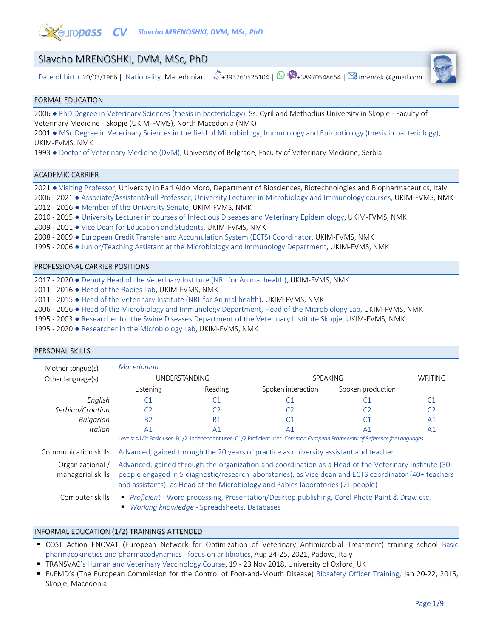

# Slavcho MRENOSHKI, DVM, MSc, PhD

Date of birth 20/03/1966 | Nationality Macedonian |  $\mathcal{N}_{+}$ 393760525104 |  $\mathfrak{D}_{+}$ 38970548654 |  $\mathfrak{D}_{-}$ mrenoski@gmail.com



#### FORMAL EDUCATION

2006 ● PhD Degree in Veterinary Sciences (thesis in bacteriology), Ss. Cyril and Methodius University in Skopje - Faculty of Veterinary Medicine - Skopje (UKIM-FVMS), North Macedonia (NMK)

2001 ● MSc Degree in Veterinary Sciences in the field of Microbiology, Immunology and Epizootiology (thesis in bacteriology), UKIM-FVMS, NMK

1993 ● Doctor of Veterinary Medicine (DVM), University of Belgrade, Faculty of Veterinary Medicine, Serbia

#### ACADEMIC CARRIER

PERSONAL SKILLS

2021 ● Visiting Professor, University in Bari Aldo Moro, Department of Biosciences, Biotechnologies and Biopharmaceutics, Italy 2006 - 2021 ● Associate/Assistant/Full Professor, University Lecturer in Microbiology and Immunology courses, UKIM-FVMS, NMK 2012 - 2016 ● Member of the University Senate, UKIM-FVMS, NMK 2010 - 2015 ● University Lecturer in courses of Infectious Diseases and Veterinary Epidemiology, UKIM-FVMS, NMK 2009 - 2011 ● Vice Dean for Education and Students, UKIM-FVMS, NMK 2008 - 2009 ● European Credit Transfer and Accumulation System (ECTS) Coordinator, UKIM-FVMS, NMK

1995 - 2006 ● Junior/Teaching Assistant at the Microbiology and Immunology Department, UKIM-FVMS, NMK

### PROFESSIONAL CARRIER POSITIONS

2017 - 2020 ● Deputy Head of the Veterinary Institute (NRL for Animal health), UKIM-FVMS, NMK

2011 - 2016 ● Head of the Rabies Lab, UKIM-FVMS, NMK

2011 - 2015 ● Head of the Veterinary Institute (NRL for Animal health), UKIM-FVMS, NMK

2006 - 2016 ● Head of the Microbiology and Immunology Department, Head of the Microbiology Lab, UKIM-FVMS, NMK

1995 - 2003 ● Researcher for the Swine Diseases Department of the Veterinary Institute Skopje, UKIM-FVMS, NMK

1995 - 2020 • Researcher in the Microbiology Lab, UKIM-FVMS, NMK

| Mother tongue(s)                      | Macedonian                                                                                                                                                                                                                                                                                          |                |                    |                   |                |
|---------------------------------------|-----------------------------------------------------------------------------------------------------------------------------------------------------------------------------------------------------------------------------------------------------------------------------------------------------|----------------|--------------------|-------------------|----------------|
| Other language(s)                     | UNDERSTANDING                                                                                                                                                                                                                                                                                       |                | <b>SPEAKING</b>    |                   | <b>WRITING</b> |
|                                       | Listening                                                                                                                                                                                                                                                                                           | Reading        | Spoken interaction | Spoken production |                |
| English                               | C <sub>1</sub>                                                                                                                                                                                                                                                                                      | C1             | C1                 | C <sub>1</sub>    | C <sub>1</sub> |
| Serbian/Croatian                      | CЭ                                                                                                                                                                                                                                                                                                  | C <sub>2</sub> | C <sub>2</sub>     | C <sub>2</sub>    | C <sub>2</sub> |
| Bulgarian                             | <b>B2</b>                                                                                                                                                                                                                                                                                           | <b>B1</b>      | C <sub>1</sub>     | C <sub>1</sub>    | A <sub>1</sub> |
| Italian                               | A <sub>1</sub>                                                                                                                                                                                                                                                                                      | A <sub>1</sub> | A <sub>1</sub>     | A <sub>1</sub>    | A <sub>1</sub> |
|                                       | Levels: A1/2: Basic user-B1/2: Independent user-C1/2 Proficient user. Common European Framework of Reference for Languages                                                                                                                                                                          |                |                    |                   |                |
| Communication skills                  | Advanced, gained through the 20 years of practice as university assistant and teacher                                                                                                                                                                                                               |                |                    |                   |                |
| Organizational /<br>managerial skills | Advanced, gained through the organization and coordination as a Head of the Veterinary Institute (30+<br>people engaged in 5 diagnostic/research laboratories), as Vice dean and ECTS coordinator (40+ teachers<br>and assistants); as Head of the Microbiology and Rabies laboratories (7+ people) |                |                    |                   |                |
| Computer skills                       | Proficient - Word processing, Presentation/Desktop publishing, Corel Photo Paint & Draw etc.<br>Working knowledge - Spreadsheets, Databases                                                                                                                                                         |                |                    |                   |                |

### INFORMAL EDUCATION (1/2) TRAININGS ATTENDED

- COST Action ENOVAT (European Network for Optimization of Veterinary Antimicrobial Treatment) training school Basic pharmacokinetics and pharmacodynamics - focus on antibiotics, Aug 24-25, 2021, Padova, Italy
- TRANSVAC's Human and Veterinary Vaccinology Course, 19 23 Nov 2018, University of Oxford, UK
- EuFMD's (The European Commission for the Control of Foot-and-Mouth Disease) Biosafety Officer Training, Jan 20-22, 2015, Skopje, Macedonia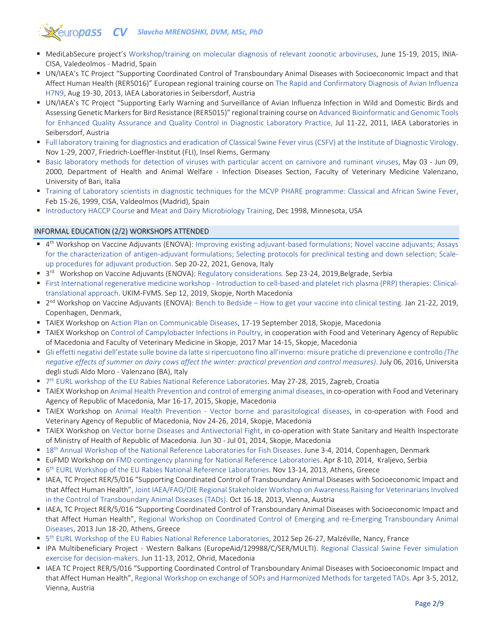# **Zeuropass CV** Slavcho MRENOSHKI, DVM, MSc, PhD

- MediLabSecure project's Workshop/training on molecular diagnosis of relevant zoonotic arboviruses, June 15-19, 2015, INIA-CISA, Valedeolmos - Madrid, Spain
- UN/IAEA's TC Project "Supporting Coordinated Control of Transboundary Animal Diseases with Socioeconomic Impact and that Affect Human Health (RER5016)" European regional training course on The Rapid and Confirmatory Diagnosis of Avian Influenza H7N9, Aug 19-30, 2013, IAEA Laboratories in Seibersdorf, Austria
- UN/IAEA's TC Project "Supporting Early Warning and Surveillance of Avian Influenza Infection in Wild and Domestic Birds and Assessing Genetic Markers for Bird Resistance (RER5015)" regional training course on Advanced Bioinformatic and Genomic Tools for Enhanced Quality Assurance and Quality Control in Diagnostic Laboratory Practice, Jul 11-22, 2011, IAEA Laboratories in Seibersdorf, Austria
- Full laboratory training for diagnostics and eradication of Classical Swine Fever virus (CSFV) at the Institute of Diagnostic Virology. Nov 1-29, 2007, Friedrich-Loeffler-Institut (FLI), Insel Riems, Germany
- Basic laboratory methods for detection of viruses with particular accent on carnivore and ruminant viruses, May 03 Jun 09, 2000, Department of Health and Animal Welfare - Infection Diseases Section, Faculty of Veterinary Medicine Valenzano, University of Bari, Italia
- Training of Laboratory scientists in diagnostic techniques for the MCVP PHARE programme: Classical and African Swine Fever, Feb 15-26, 1999, CISA, Valdeolmos (Madrid), Spain
- Introductory HACCP Course and Meat and Dairy Microbiology Training, Dec 1998, Minnesota, USA

## INFORMAL EDUCATION (2/2) WORKSHOPS ATTENDED

- 4th Workshop on Vaccine Adjuvants (ENOVA): Improving existing adjuvant-based formulations; Novel vaccine adjuvants; Assays for the characterization of antigen-adjuvant formulations; Selecting protocols for preclinical testing and down selection; Scaleup procedures for adjuvant production. Sep 20-22, 2021, Genova, Italy
- <sup>3rd</sup> Workshop on Vaccine Adjuvants (ENOVA): Regulatory considerations. Sep 23-24, 2019, Belgrade, Serbia
- First International regenerative medicine workshop Introduction to cell-based-and platelet rich plasma (PRP) therapies: Clinicaltranslational approach. UKIM-FVMS. Sep 12, 2019, Skopje, North Macedonia
- $\blacksquare$  2<sup>nd</sup> Workshop on Vaccine Adjuvants (ENOVA): Bench to Bedside How to get your vaccine into clinical testing. Jan 21-22, 2019, Copenhagen, Denmark,
- TAIEX Workshop on Action Plan on Communicable Diseases, 17-19 September 2018, Skopje, Macedonia
- TAIEX Workshop on Control of Campylobacter Infections in Poultry, in cooperation with Food and Veterinary Agency of Republic of Macedonia and Faculty of Veterinary Medicine in Skopje, 2017 Mar 14-15, Skopje, Macedonia
- Gli effetti negativi dell'estate sulle bovine da latte si ripercuotono fino all'inverno: misure pratiche di prevenzione e controllo *(The negative effects of summer on dairy cows affect the winter: practical prevention and control measures)*. July 06, 2016, Universita degli studi Aldo Moro - Valenzano (BA), Italy
- 7<sup>th</sup> EURL workshop of the EU Rabies National Reference Laboratories. May 27-28, 2015, Zagreb, Croatia
- TAIEX Workshop on Animal Health Prevention and control of emerging animal diseases, in co-operation with Food and Veterinary Agency of Republic of Macedonia, Mar 16-17, 2015, Skopje, Macedonia
- TAIEX Workshop on Animal Health Prevention Vector borne and parasitological diseases, in co-operation with Food and Veterinary Agency of Republic of Macedonia, Nov 24-26, 2014, Skopje, Macedonia
- TAIEX Workshop on Vector borne Diseases and Antivectorial Fight, in co-operation with State Sanitary and Health Inspectorate of Ministry of Health of Republic of Macedonia. Jun 30 - Jul 01, 2014, Skopje, Macedonia
- 18<sup>th</sup> Annual Workshop of the National Reference Laboratories for Fish Diseases. June 3-4, 2014, Copenhagen, Denmark
- EuFMD Workshop on FMD contingency planning for National Reference Laboratories. Apr 8-10, 2014, Kraljevo, Serbia
- $\bullet$  6<sup>th</sup> EURL Workshop of the EU Rabies National Reference Laboratories. Nov 13-14, 2013, Athens, Greece
- IAEA, TC Project RER/5/016 "Supporting Coordinated Control of Transboundary Animal Diseases with Socioeconomic Impact and that Affect Human Health", Joint IAEA/FAO/OIE Regional Stakeholder Workshop on Awareness Raising for Veterinarians Involved in the Control of Transboundary Animal Diseases (TADs). Oct 16-18, 2013, Vienna, Austria
- **IAEA, TC Project RER/5/016 "Supporting Coordinated Control of Transboundary Animal Diseases with Socioeconomic Impact and** that Affect Human Health", Regional Workshop on Coordinated Control of Emerging and re-Emerging Transboundary Animal Diseases, 2013 Jun 18-20, Athens, Greece
- <sup>5th</sup> EURL Workshop of the EU Rabies National Reference Laboratories, 2012 Sep 26-27, Malzéville, Nancy, France
- IPA Multibeneficiary Project Western Balkans (EuropeAid/129988/C/SER/MULTI). Regional Classical Swine Fever simulation exercise for decision-makers. Jun 11-13, 2012, Ohrid, Macedonia
- IAEA TC Project RER/5/016 "Supporting Coordinated Control of Transboundary Animal Diseases with Socioeconomic Impact and that Affect Human Health", Regional Workshop on exchange of SOPs and Harmonized Methods for targeted TADs. Apr 3-5, 2012, Vienna, Austria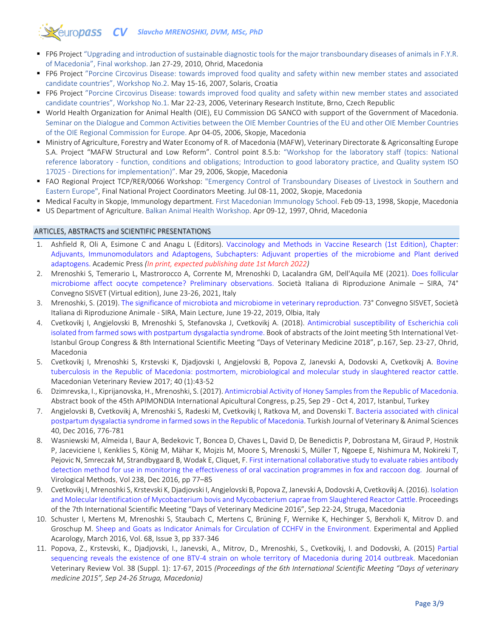# *CV Slavcho MRENOSHKI, DVM, MSc, PhD*

- FP6 Project "Upgrading and introduction of sustainable diagnostic tools for the major transboundary diseases of animals in F.Y.R. of Macedonia", Final workshop. Jan 27-29, 2010, Ohrid, Macedonia
- FP6 Project "Porcine Circovirus Disease: towards improved food quality and safety within new member states and associated candidate countries", Workshop No.2. May 15-16, 2007, Solaris, Croatia
- FP6 Project "Porcine Circovirus Disease: towards improved food quality and safety within new member states and associated candidate countries", Workshop No.1. Mar 22-23, 2006, Veterinary Research Institute, Brno, Czech Republic
- World Health Organization for Animal Health (OIE), EU Commission DG SANCO with support of the Government of Macedonia. Seminar on the Dialogue and Common Activities between the OIE Member Countries of the EU and other OIE Member Countries of the OIE Regional Commission for Europe. Apr 04-05, 2006, Skopje, Macedonia
- Ministry of Agriculture, Forestry and Water Economy of R. of Macedonia (MAFW), Veterinary Directorate & Agriconsalting Europe S.A. Project "MAFW Structural and Low Reform". Control point 8.5.b: "Workshop for the laboratory staff (topics: National reference laboratory - function, conditions and obligations; Introduction to good laboratory practice, and Quality system ISO 17025 - Directions for implementation)". Mar 29, 2006, Skopje, Macedonia
- FAO Regional Project TCP/RER/0066 Workshop: "Emergency Control of Transboundary Diseases of Livestock in Southern and Eastern Europe", Final National Project Coordinators Meeting. Jul 08-11, 2002, Skopje, Macedonia
- Medical Faculty in Skopje, Immunology department. First Macedonian Immunology School. Feb 09-13, 1998, Skopje, Macedonia
- US Department of Agriculture. Balkan Animal Health Workshop. Apr 09-12, 1997, Ohrid, Macedonia

### ARTICLES, ABSTRACTS and SCIENTIFIC PRESENTATIONS

- 1. Ashfield R, Oli A, Esimone C and Anagu L (Editors). [Vaccinology and Methods in Vaccine Research \(1st Edition\), Chapter:](https://www.elsevier.com/books/vaccinology-and-methods-in-vaccine-research/ashfield/978-0-323-91146-7)  [Adjuvants, Immunomodulators and Adaptogens,](https://www.elsevier.com/books/vaccinology-and-methods-in-vaccine-research/ashfield/978-0-323-91146-7) Subchapters: Adjuvant properties of the microbiome and Plant derived adaptogens. Academic Press *(In print, expected publishing date 1st March 2022)*
- 2. Mrenoshki S, Temerario L, Mastrorocco A, Corrente M, Mrenoshki D, Lacalandra GM, Dell'Aquila ME (2021). [Does follicular](https://drive.google.com/file/d/1HOKx6gjvgg9OYzDErlSfJlVAOiz2E9vf/view?usp=sharing)  [microbiome affect oocyte competence? Preliminary observations.](https://drive.google.com/file/d/1HOKx6gjvgg9OYzDErlSfJlVAOiz2E9vf/view?usp=sharing) Società Italiana di Riproduzione Animale – SIRA, 74° Convegno SISVET (Virtual edition), June 23-26, 2021, Italy
- 3. Mrenoshki, S. (2019). [The significance of microbiota and microbiome in veterinary reproduction.](https://drive.google.com/file/d/1prCWR9KPT-bZOsZFHl7stU1NTvWSqNMB/view?usp=sharing) 73° Convegno SISVET, Società Italiana di Riproduzione Animale - SIRA, Main Lecture, June 19-22, 2019, Olbia, Italy
- 4. Cvetkovikj I, Angjelovski B, Mrenoshki S, Stefanovska J, Cvetkovikj A. (2018). [Antimicrobial susceptibility of Escherichia coli](https://drive.google.com/file/d/1fMBSTR5tbxc8RkBioeBEW-cIRUoshPKx/view?usp=sharing)  [isolated from farmed sows with postpartum dysgalactia syndrome.](https://drive.google.com/file/d/1fMBSTR5tbxc8RkBioeBEW-cIRUoshPKx/view?usp=sharing) Book of abstracts of the Joint meeting 5th International Vet-Istanbul Group Congress & 8th International Scientific Meeting "Days of Veterinary Medicine 2018", p.167, Sep. 23-27, Ohrid, Macedonia
- 5. Cvetkovikj I, Mrenoshki S, Krstevski K, Djadjovski I, Angjelovski B, Popova Z, Janevski A, Dodovski A, Cvetkovikj A. [Bovine](https://www.sciendo.com/article/10.1515/macvetrev-2016-0097)  [tuberculosis in the Republic of Macedonia: postmortem, microbiological and molecular study in slaughtered reactor cattle.](https://www.sciendo.com/article/10.1515/macvetrev-2016-0097) Macedonian Veterinary Review 2017; 40 (1):43-52
- 6. Dzimrevska, I., Kiprijanovska, H., Mrenoshki, S. (2017). [Antimicrobial Activity of Honey Samples from the Republic of Macedonia.](https://drive.google.com/file/d/1GTL6WGb9XwsH32hkjUodrT4nL1uD9AAX/view?usp=sharing) Abstract book of the 45th APIMONDIA International Apicultural Congress, p.25, Sep 29 - Oct 4, 2017, Istanbul, Turkey
- 7. Angjelovski B, Cvetkovikj A, Mrenoshki S, Radeski M, Cvetkovikj I, Ratkova M, and Dovenski T. [Bacteria associated with clinical](https://journals.tubitak.gov.tr/veterinary/abstract.htm;jsessionid=987E2F35DE611125A5010E760369560F?id=19710)  [postpartum dysgalactia syndrome in farmed sows in the Republic of Macedonia.](https://journals.tubitak.gov.tr/veterinary/abstract.htm;jsessionid=987E2F35DE611125A5010E760369560F?id=19710) Turkish Journal of Veterinary & Animal Sciences 40, Dec 2016, 776-781
- 8. Wasniewski M, Almeida I, Baur A, Bedekovic T, Boncea D, Chaves L, David D, De Benedictis P, Dobrostana M, Giraud P, Hostnik P, Jaceviciene I, Kenklies S, König M, Mähar K, Mojzis M, Moore S, Mrenoski S, Müller T, Ngoepe E, Nishimura M, Nokireki T, Pejovic N, Smreczak M, Strandbygaard B, Wodak E, Cliquet, F[. First international collaborative study to evaluate rabies antibody](https://www.sciencedirect.com/science/article/pii/S0166093416303408?via%3Dihub)  [detection method for use in monitoring the effectiveness of oral vaccination programmes in fox and raccoon dog.](https://www.sciencedirect.com/science/article/pii/S0166093416303408?via%3Dihub) Journal of Virological Methods, Vol 238, Dec 2016, pp 77–85
- 9. Cvetkovikj I, Mrenoshki S, Krstevski K, Djadjovski I, Angjelovski B, Popova Z, Janevski A, Dodovski A, Cvetkovikj A. (2016)[. Isolation](https://drive.google.com/file/d/1UbM_w5zi0-hp_o2QErRd4yzwO7r8J0aJ/view?usp=sharing)  [and Molecular Identification of Mycobacterium bovis and Mycobacterium caprae from Slaughtered Reactor Cattle.](https://drive.google.com/file/d/1UbM_w5zi0-hp_o2QErRd4yzwO7r8J0aJ/view?usp=sharing) Proceedings of the 7th International Scientific Meeting "Days of Veterinary Medicine 2016", Sep 22-24, Struga, Macedonia
- 10. Schuster I, Mertens M, Mrenoshki S, Staubach C, Mertens C, Brüning F, Wernike K, Hechinger S, Berxholi K, Mitrov D. and Groschup M. [Sheep and Goats as Indicator Animals for Circulation of CCHFV in the Environment](https://link.springer.com/article/10.1007/s10493-015-9996-y). Experimental and Applied Acarology, March 2016, Vol. 68, Issue 3, pp 337-346
- 11. Popova, Z., Krstevski, K., Djadjovski, I., Janevski, A., Mitrov, D., Mrenoshki, S., Cvetkovikj, I. and Dodovski, A. (2015) [Partial](https://drive.google.com/file/d/13aUALoZHTp5IPyIEKZjTuR_R6B7pfjaQ/view?usp=sharing)  [sequencing reveals the existence of one BTV-4 strain on whole territory of Macedonia during 2014 outbreak.](https://drive.google.com/file/d/13aUALoZHTp5IPyIEKZjTuR_R6B7pfjaQ/view?usp=sharing) Macedonian Veterinary Review Vol. 38 (Suppl. 1): 17-67, 2015 *(Proceedings of the 6th International Scientific Meeting "Days of veterinary medicine 2015", Sep 24-26 Struga, Macedonia)*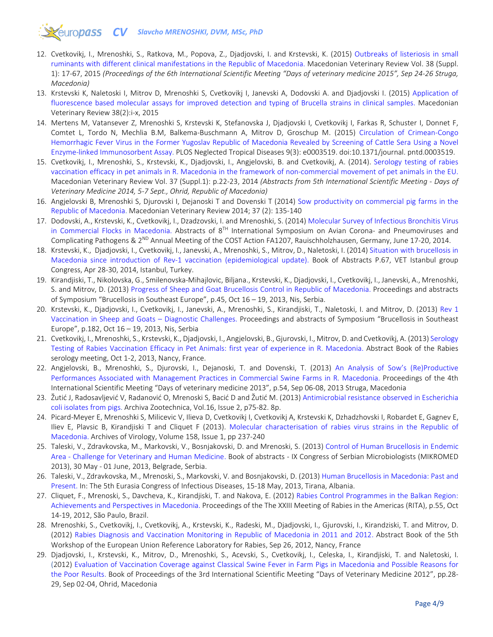# **CV** Slavcho MRENOSHKI, DVM, MSc, PhD

- 12. Cvetkovikj, I., Mrenoshki, S., Ratkova, M., Popova, Z., Djadjovski, I. and Krstevski, K. (2015) [Outbreaks of listeriosis in small](https://drive.google.com/file/d/16fyHDBqT4qRKth9UdcTGXIzBF-7fcSx4/view?usp=sharing)  [ruminants with different clinical manifestations in the Republic of Macedonia.](https://drive.google.com/file/d/16fyHDBqT4qRKth9UdcTGXIzBF-7fcSx4/view?usp=sharing) Macedonian Veterinary Review Vol. 38 (Suppl. 1): 17-67, 2015 *(Proceedings of the 6th International Scientific Meeting "Days of veterinary medicine 2015", Sep 24-26 Struga, Macedonia)*
- 13. Krstevski K, Naletoski I, Mitrov D, Mrenoshki S, Cvetkovikj I, Janevski A, Dodovski A. and Djadjovski I. (2015) [Application of](https://sciendo.com/de/article/10.14432/j.macvetrev.2015.09.055)  [fluorescence based molecular assays for improved detection and typing of Brucella strains in clinical samples. M](https://sciendo.com/de/article/10.14432/j.macvetrev.2015.09.055)acedonian Veterinary Review 38(2):i-x, 2015
- 14. Mertens M, Vatansever Z, Mrenoshki S, Krstevski K, Stefanovska J, Djadjovski I, Cvetkovikj I, Farkas R, Schuster I, Donnet F, Comtet L, Tordo N, Mechlia B.M, Balkema-Buschmann A, Mitrov D, Groschup M. (2015) [Circulation of Crimean-Congo](https://journals.plos.org/plosntds/article?id=10.1371/journal.pntd.0003519)  [Hemorrhagic Fever Virus in the Former Yugoslav Republic of Macedonia Revealed by Screening of Cattle Sera Using a Novel](https://journals.plos.org/plosntds/article?id=10.1371/journal.pntd.0003519)  [Enzyme-linked Immunosorbent Assay.](https://journals.plos.org/plosntds/article?id=10.1371/journal.pntd.0003519) PLOS Neglected Tropical Diseases 9(3): e0003519. doi:10.1371/journal. pntd.0003519.
- 15. Cvetkovikj, I., Mrenoshki, S., Krstevski, K., Djadjovski, I., Angjelovski, B. and Cvetkovikj, A. (2014). [Serology testing of rabies](https://drive.google.com/file/d/1l7gt5Lhs824WW44xXJU3TsrTcU78VLG1/view?usp=sharing)  [vaccination efficacy in pet animals in R. Macedonia in the framework of non-commercial movement of pet animals in the EU.](https://drive.google.com/file/d/1l7gt5Lhs824WW44xXJU3TsrTcU78VLG1/view?usp=sharing) Macedonian Veterinary Review Vol. 37 (Suppl.1): p.22-23, 2014 *(Abstracts from 5th International Scientific Meeting - Days of Veterinary Medicine 2014, 5-7 Sept., Ohrid, Republic of Macedonia)*
- 16. Angjelovski B, Mrenoshki S, Djurovski I, Dejanoski T and Dovenski T (2014) [Sow productivity on commercial pig farms in the](https://sciendo.com/article/10.14432/j.macvetrev.2014.06.016)  [Republic of Macedonia.](https://sciendo.com/article/10.14432/j.macvetrev.2014.06.016) Macedonian Veterinary Review 2014; 37 (2): 135-140
- 17. Dodovski, A., Krstevski, K., Cvetkovikj, I., Dzadzovski, I. and Mrenoshki, S. (2014[\) Molecular Survey of Infectious Bronchitis Virus](https://drive.google.com/file/d/1RoIJf0VhRlq1S5emivVxraXV_kCYNIFT/view?usp=sharing)  [in Commercial Flocks in Macedonia.](https://drive.google.com/file/d/1RoIJf0VhRlq1S5emivVxraXV_kCYNIFT/view?usp=sharing) Abstracts of 8<sup>TH</sup> International Symposium on Avian Corona- and Pneumoviruses and Complicating Pathogens & 2<sup>ND</sup> Annual Meeting of the COST Action FA1207, Rauischholzhausen, Germany, June 17-20, 2014.
- 18. Krstevski, K., Djadjovski, I., Cvetkovikj, I., Janevski, A., Mrenoshki, S., Mitrov, D., Naletoski, I. (2014[\) Situation with brucellosis in](https://drive.google.com/file/d/13KJj3H3CQYeweraYLxTRCMXRTsVsSgvD/view?usp=sharing)  [Macedonia since introduction of Rev-1 vaccination \(epidemiological update\).](https://drive.google.com/file/d/13KJj3H3CQYeweraYLxTRCMXRTsVsSgvD/view?usp=sharing) Book of Abstracts P.67, VET Istanbul group Congress, Apr 28-30, 2014, Istanbul, Turkey.
- 19. Kirandjiski, T., Nikolovska, G., Smilenovska-Mihajlovic, Biljana., Krstevski, K., Djadjovski, I., Cvetkovikj, I., Janevski, A., Mrenoshki, S. and Mitrov, D. (2013[\) Progress of Sheep and Goat Brucellosis Control in Republic of Macedonia.](https://drive.google.com/file/d/1eCJt8wdIg7ymBEEkq1eupgs4zGp4LqJO/view?usp=sharing) Proceedings and abstracts of Symposium "Brucellosis in Southeast Europe", p.45, Oct 16 – 19, 2013, Nis, Serbia.
- 20. Krstevski, K., Djadjovski, I., Cvetkovikj, I., Janevski, A., Mrenoshki, S., Kirandjiski, T., Naletoski, I. and Mitrov, D. (2013) [Rev 1](https://drive.google.com/file/d/145kMiBJlCZ-6v49tkWDmXsIAJk_-SS5l/view?usp=sharing)  [Vaccination in Sheep and Goats –](https://drive.google.com/file/d/145kMiBJlCZ-6v49tkWDmXsIAJk_-SS5l/view?usp=sharing) Diagnostic Challenges. Proceedings and abstracts of Symposium "Brucellosis in Southeast Europe", p.182, Oct 16 – 19, 2013, Nis, Serbia
- 21. Cvetkovikj, I., Mrenoshki, S., Krstevski, K., Djadjovski, I., Angjelovski, B., Gjurovski, I., Mitrov, D. and Cvetkovikj, A. (2013[\) Serology](https://drive.google.com/file/d/14VeVIqDthTaoRNLtoTDUEN8yb1Xa0_M2/view?usp=sharing)  [Testing of Rabies Vaccination Efficacy in Pet Animals: first year of experience in R. Macedonia.](https://drive.google.com/file/d/14VeVIqDthTaoRNLtoTDUEN8yb1Xa0_M2/view?usp=sharing) Abstract Book of the Rabies serology meeting, Oct 1-2, 2013, Nancy, France.
- 22. Angjelovski, B., Mrenoshki, S., Djurovski, I., Dejanoski, T. and Dovenski, T. (2013) [An Analysis of Sow's \(Re\)Productive](https://drive.google.com/file/d/1Rs6xeSuj7hue1pOcqc8UQ9tes9Z7Q9-x/view?usp=sharing)  [Performances Associated with Management Practices in Commercial Swine Farms in R. Macedonia.](https://drive.google.com/file/d/1Rs6xeSuj7hue1pOcqc8UQ9tes9Z7Q9-x/view?usp=sharing) Proceedings of the 4th International Scientific Meeting "Days of veterinary medicine 2013", p.54, Sep 06-08, 2013 Struga, Macedonia
- 23. Žutić J, Radosavljević V, Radanović O, Mrenoski S, Bacić D and Žutić M. (2013) [Antimicrobial resistance observed in Escherichia](https://www.ibna.ro/en/acces-articole-text-integral/item/80-archiva-zootechnica-vol-16-2013)  [coli isolates from pigs.](https://www.ibna.ro/en/acces-articole-text-integral/item/80-archiva-zootechnica-vol-16-2013) Archiva Zootechnica, Vol.16, Issue 2, p75-82. 8p.
- 24. Picard-Meyer E, Mrenoshki S, Milicevic V, Ilieva D, Cvetkovikj I, Cvetkovikj A, Krstevski K, Dzhadzhovski I, Robardet E, Gagnev E, Iliev E, Plavsic B, Kirandjiski T and Cliquet F (2013). [Molecular characterisation of rabies virus strains in the Republic of](https://link.springer.com/article/10.1007/s00705-012-1466-9)  [Macedonia.](https://link.springer.com/article/10.1007/s00705-012-1466-9) Archives of Virology, Volume 158, Issue 1, pp 237-240
- 25. Taleski, V., Zdravkovska, M., Markovski, V., Bosnjakovski, D. and Mrenoski, S. (2013) [Control of Human Brucellosis in Endemic](https://drive.google.com/file/d/1rflP0Wj9KdrnAwnOwl8r4VIS5CDmG0fu/view?usp=sharing)  Area - [Challenge for Veterinary and Human Medicine.](https://drive.google.com/file/d/1rflP0Wj9KdrnAwnOwl8r4VIS5CDmG0fu/view?usp=sharing) Book of abstracts - IX Congress of Serbian Microbiologists (MIKROMED 2013), 30 May - 01 June, 2013, Belgrade, Serbia.
- 26. Taleski, V., Zdravkovska, M., Mrenoski, S., Markovski, V. and Bosnjakovski, D. (2013) Human [Brucellosis in Macedonia: Past and](https://drive.google.com/file/d/1uFV21QHEWbvQ10kWdK330T7UtkVywTg_/view?usp=sharing)  [Present.](https://drive.google.com/file/d/1uFV21QHEWbvQ10kWdK330T7UtkVywTg_/view?usp=sharing) In: The 5th Eurasia Congress of Infectious Diseases, 15-18 May, 2013, Tirana, Albania.
- 27. Cliquet, F., Mrenoski, S., Davcheva, K., Kirandjiski, T. and Nakova, E. (2012) [Rabies Control Programmes in the Balkan Region:](https://drive.google.com/file/d/1S-55GkB2meH6w-9cbaJw_9zc17tJwTCi/view?usp=sharing)  [Achievements and Perspectives in Macedonia.](https://drive.google.com/file/d/1S-55GkB2meH6w-9cbaJw_9zc17tJwTCi/view?usp=sharing) Proceedings of the The XXIII Meeting of Rabies in the Americas (RITA), p.55, Oct 14-19, 2012, São Paulo, Brazil.
- 28. Mrenoshki, S., Cvetkovikj, I., Cvetkovikj, A., Krstevski, K., Radeski, M., Djadjovski, I., Gjurovski, I., Kirandziski, T. and Mitrov, D. (2012) [Rabies Diagnosis and Vaccination Monitoring in Republic of Macedonia in 2011 and 2012.](https://drive.google.com/file/d/13DPnnlldm9vbj-kRKLdc2wsAEC8TAwHm/view?usp=sharing) Abstract Book of the 5th Workshop of the European Union Reference Laboratory for Rabies, Sep 26, 2012, Nancy, France
- 29. Djadjovski, I., Krstevski, K., Mitrov, D., Mrenoshki, S., Acevski, S., Cvetkovikj, I., Celeska, I., Kirandjiski, T. and Naletoski, I. (2012) [Evaluation of Vaccination Coverage against Classical Swine Fever in Farm Pigs in Macedonia and Possible Reasons for](https://drive.google.com/file/d/11NT6l_aAZJY_S9GjhC67UBUreqoOo7DQ/view?usp=sharing)  [the Poor Results.](https://drive.google.com/file/d/11NT6l_aAZJY_S9GjhC67UBUreqoOo7DQ/view?usp=sharing) Book of Proceedings of the 3rd International Scientific Meeting "Days of Veterinary Medicine 2012", pp.28- 29, Sep 02-04, Ohrid, Macedonia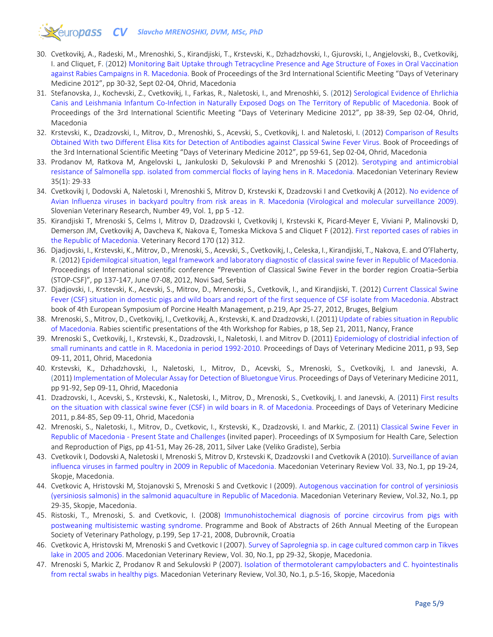# **CV** Slavcho MRENOSHKI, DVM, MSc, PhD

- 30. Cvetkovikj, A., Radeski, M., Mrenoshki, S., Kirandjiski, T., Krstevski, K., Dzhadzhovski, I., Gjurovski, I., Angjelovski, B., Cvetkovikj, I. and Cliquet, F. (2012) [Monitoring Bait Uptake through Tetracycline Presence and Age Structure of Foxes in Oral Vaccination](https://drive.google.com/file/d/15Zh4W1_CvTc3cJdi9W7AeoqFc30L0kyS/view?usp=sharing)  [against Rabies Campaigns in R. Macedonia.](https://drive.google.com/file/d/15Zh4W1_CvTc3cJdi9W7AeoqFc30L0kyS/view?usp=sharing) Book of Proceedings of the 3rd International Scientific Meeting "Days of Veterinary Medicine 2012", pp 30-32, Sept 02-04, Ohrid, Macedonia
- 31. Stefanovska, J., Kochevski, Z., Cvetkovikj, I., Farkas, R., Naletoski, I., and Mrenoshki, S. (2012) [Serological Evidence of Ehrlichia](https://drive.google.com/file/d/1uUytDMdkj0v98qjuMUlsnFtBAvEtk0X9/view?usp=sharing)  [Canis and Leishmania Infantum Co-Infection in Naturally Exposed Dogs on The Territory of Republic of Macedonia. B](https://drive.google.com/file/d/1uUytDMdkj0v98qjuMUlsnFtBAvEtk0X9/view?usp=sharing)ook of Proceedings of the 3rd International Scientific Meeting "Days of Veterinary Medicine 2012", pp 38-39, Sep 02-04, Ohrid, Macedonia
- 32. Krstevski, K., Dzadzovski, I., Mitrov, D., Mrenoshki, S., Acevski, S., Cvetkovikj, I. and Naletoski, I. (2012) [Comparison of Results](https://drive.google.com/file/d/1nBo4SSGG0Frw0L8KJC6GoTq29Nvw3HVU/view?usp=sharing)  [Obtained With two Different Elisa Kits for Detection of Antibodies against Classical Swine Fever Virus.](https://drive.google.com/file/d/1nBo4SSGG0Frw0L8KJC6GoTq29Nvw3HVU/view?usp=sharing) Book of Proceedings of the 3rd International Scientific Meeting "Days of Veterinary Medicine 2012", pp 59-61, Sep 02-04, Ohrid, Macedonia
- 33. Prodanov M, Ratkova M, Angelovski L, Jankuloski D, Sekulovski P and Mrenoshki S (2012). [Serotyping and antimicrobial](https://macvetrev.mk/LoadAbstract?DOI=636.52_.58.034.09.%5B579.842.14.017.4.615.33%28497.7%29)  [resistance of Salmonella spp. isolated from commercial flocks of laying hens in R. Macedonia.](https://macvetrev.mk/LoadAbstract?DOI=636.52_.58.034.09.%5B579.842.14.017.4.615.33%28497.7%29) Macedonian Veterinary Review 35(1): 29-33
- 34. Cvetkovikj I, Dodovski A, Naletoski I, Mrenoshki S, Mitrov D, Krstevski K, Dzadzovski I and Cvetkovikj A (2012). [No evidence of](https://www.researchgate.net/publication/226600304_No_evidence_of_avian_influenza_viruses_in_backyard_poultry_from_risk_areas_in_R_MacedoniaVirological_and_molecular_surveillance_2009?_sg=VN1Hh23vfQJ8SAtyRU2VifEFV9jrzZXSzbzLaMMGWF1vgd8hqBUXE_hBTPHWuGVZcw_5EvGw5IfIQYA5ou6QK2I0z2jTjEyj6ZiiMt3P.-U5QftCmQ1lSYSkGq3G-anj3JbvkzvISsnoBgczkjwtSX4Yr0biFmnV18-G65ppTFar4vxz3K7QgcoqHWz-9Fw)  [Avian Influenza viruses in backyard poultry from risk areas in R. Macedonia \(Virological and molecular surveillance 2009\).](https://www.researchgate.net/publication/226600304_No_evidence_of_avian_influenza_viruses_in_backyard_poultry_from_risk_areas_in_R_MacedoniaVirological_and_molecular_surveillance_2009?_sg=VN1Hh23vfQJ8SAtyRU2VifEFV9jrzZXSzbzLaMMGWF1vgd8hqBUXE_hBTPHWuGVZcw_5EvGw5IfIQYA5ou6QK2I0z2jTjEyj6ZiiMt3P.-U5QftCmQ1lSYSkGq3G-anj3JbvkzvISsnoBgczkjwtSX4Yr0biFmnV18-G65ppTFar4vxz3K7QgcoqHWz-9Fw) Slovenian Veterinary Research, Number 49, Vol. 1, pp 5 -12.
- 35. Kirandjiski T, Mrenoski S, Celms I, Mitrov D, Dzadzovski I, Cvetkovikj I, Krstevski K, Picard-Meyer E, Viviani P, Malinovski D, Demerson JM, Cvetkovikj A, Davcheva K, Nakova E, Tomeska Mickova S and Cliquet F (2012). [First reported cases of rabies in](https://bvajournals.onlinelibrary.wiley.com/doi/full/10.1136/vr.100580)  [the Republic of Macedonia.](https://bvajournals.onlinelibrary.wiley.com/doi/full/10.1136/vr.100580) Veterinary Record 170 (12) 312.
- 36. Djadjovski, I., Krstevski, K., Mitrov, D., Mrenoski, S., Acevski, S., Cvetkovikj, I., Celeska, I., Kirandjiski, T., Nakova, E. and O'Flaherty, R. (2012[\) Epidemilogical situation, legal framework and laboratory diagnostic of classical swine fever in Republic of Macedonia.](https://drive.google.com/file/d/18ammCJz4k7TLrAWgblbFrorrKxomlM8A/view?usp=sharing) Proceedings of International scientific conference "Prevention of Classical Swine Fever in the border region Croatia–Serbia (STOP-CSF)", pp 137-147, June 07-08, 2012, Novi Sad, Serbia
- 37. Djadjovski, I., Krstevski, K., Acevski, S., Mitrov, D., Mrenoski, S., Cvetkovik, I., and Kirandjiski, T. (2012) [Current Classical Swine](https://drive.google.com/file/d/1xW1KBS2Zt5_8mH3bR7vhQ3illbw7OW-A/view?usp=sharing)  [Fever \(CSF\) situation in domestic pigs and wild boars and report of the first sequence of CSF isolate from Macedonia. A](https://drive.google.com/file/d/1xW1KBS2Zt5_8mH3bR7vhQ3illbw7OW-A/view?usp=sharing)bstract book of 4th European Symposium of Porcine Health Management, p.219, Apr 25-27, 2012, Bruges, Belgium
- 38. Mrenoski, S., Mitrov, D., Cvetkovikj, I., Cvetkovikj, A., Krstevski, K. and Dzadzovski, I. (2011[\) Update of rabies situation in Republic](https://drive.google.com/file/d/1jjmhXJs-gHKCOihguHAtU0V6PrP-5Tt3/view?usp=sharing)  [of Macedonia.](https://drive.google.com/file/d/1jjmhXJs-gHKCOihguHAtU0V6PrP-5Tt3/view?usp=sharing) Rabies scientific presentations of the 4th Workshop for Rabies, p 18, Sep 21, 2011, Nancy, France
- 39. Mrenoski S., Cvetkovikj, I., Krstevski, K., Dzadzovski, I., Naletoski, I. and Mitrov D. (2011[\) Epidemiology of clostridial infection of](https://drive.google.com/file/d/1Sp8YmeBR0tEOnX0caDKCc70WrfPj20je/view?usp=sharing)  [small ruminants and cattle in R. Macedonia in period 1992-2010.](https://drive.google.com/file/d/1Sp8YmeBR0tEOnX0caDKCc70WrfPj20je/view?usp=sharing) Proceedings of Days of Veterinary Medicine 2011, p 93, Sep 09-11, 2011, Ohrid, Macedonia
- 40. Krstevski, K., Dzhadzhovski, I., Naletoski, I., Mitrov, D., Acevski, S., Mrenoski, S., Cvetkovikj, I. and Janevski, A. (2011[\) Implementation of Molecular Assay for Detection of Bluetongue Virus.](https://drive.google.com/file/d/1wTC1LScdpKr9nAuZtriu8gMbJreuiMNv/view?usp=sharing) Proceedings of Days of Veterinary Medicine 2011, pp 91-92, Sep 09-11, Ohrid, Macedonia
- 41. Dzadzovski, I., Acevski, S., Krstevski, K., Naletoski, I., Mitrov, D., Mrenoski, S., Cvetkovikj, I. and Janevski, A. (2011) [First results](https://drive.google.com/file/d/1JvizoOfQbDYQHv2-pwMAZGVW2d4qB-we/view?usp=sharing)  [on the situation with classical swine fever \(CSF\) in wild boars in R. of Macedonia.](https://drive.google.com/file/d/1JvizoOfQbDYQHv2-pwMAZGVW2d4qB-we/view?usp=sharing) Proceedings of Days of Veterinary Medicine 2011, p.84-85, Sep 09-11, Ohrid, Macedonia
- 42. Mrenoski, S., Naletoski, I., Mitrov, D., Cvetkovic, I., Krstevski, K., Dzadzovski, I. and Markic, Z. (2011) [Classical Swine Fever in](https://drive.google.com/file/d/1EYQTjNG5F7MPzBpYKHfajZDNoVDahm1c/view?usp=sharing)  Republic of Macedonia - [Present State and Challenges](https://drive.google.com/file/d/1EYQTjNG5F7MPzBpYKHfajZDNoVDahm1c/view?usp=sharing) (invited paper). Proceedings of IX Symposium for Health Care, Selection and Reproduction of Pigs, pp 41-51, May 26-28, 2011, Silver Lake (Veliko Gradiste), Serbia
- 43. Cvetkovik I, Dodovski A, Naletoski I, Mrenoski S, Mitrov D, Krstevski K, Dzadzovski I and Cvetkovik A (2010). [Surveillance of avian](https://macvetrev.mk/LoadAbstract?DOI=635.5.09.%5B616.98.578.828.3%28497.7%29_2008)  [influenca viruses in farmed poultry in 2009 in Republic of Macedonia.](https://macvetrev.mk/LoadAbstract?DOI=635.5.09.%5B616.98.578.828.3%28497.7%29_2008) Macedonian Veterinary Review Vol. 33, No.1, pp 19-24, Skopje, Macedonia.
- 44. Cvetkovic A, Hristovski M, Stojanovski S, Mrenoski S and Cvetkovic I (2009). [Autogenous vaccination for control of yersiniosis](https://macvetrev.mk/LoadAbstract?DOI=639.3.09.615.371)  [\(yersiniosis salmonis\) in the salmonid aquaculture](https://macvetrev.mk/LoadAbstract?DOI=639.3.09.615.371) in Republic of Macedonia. Macedonian Veterinary Review, Vol.32, No.1, pp 29-35, Skopje, Macedonia.
- 45. Ristoski, T., Mrenoski, S. and Cvetkovic, I. (2008) [Immunohistochemical diagnosis of porcine circovirus from pigs with](https://drive.google.com/file/d/1JUQrkbQ9uGgU3xp4_BbW2I676yI_czdn/view?usp=sharing)  [postweaning multisistemic wasting syndrome.](https://drive.google.com/file/d/1JUQrkbQ9uGgU3xp4_BbW2I676yI_czdn/view?usp=sharing) Programme and Book of Abstracts of 26th Annual Meeting of the European Society of Veterinary Pathology, p.199, Sep 17-21, 2008, Dubrovnik, Croatia
- 46. Cvetkovic A, Hristovski M, Mrenoski S and Cvetkovic I (2007). [Survey of Saprolegnia sp. in cage cultured common carp in Tikves](https://macvetrev.mk/LoadAbstract?DOI=639.3.%5B597.551.2_12.582.244.1%28497.7%29_2005_06)  [lake in 2005 and 2006.](https://macvetrev.mk/LoadAbstract?DOI=639.3.%5B597.551.2_12.582.244.1%28497.7%29_2005_06) Macedonian Veterinary Review, Vol. 30, No.1, pp 29-32, Skopje, Macedonia.
- 47. Mrenoski S, Markic Z, Prodanov R and Sekulovski P (2007). [Isolation of thermotolerant campylobacters and C. hyointestinalis](https://macvetrev.mk/LoadAbstract?DOI=619.636.4%5D.616.33_.35_022.579.835.12)  [from rectal swabs in healthy pigs.](https://macvetrev.mk/LoadAbstract?DOI=619.636.4%5D.616.33_.35_022.579.835.12) Macedonian Veterinary Review, Vol.30, No.1, p.5-16, Skopje, Macedonia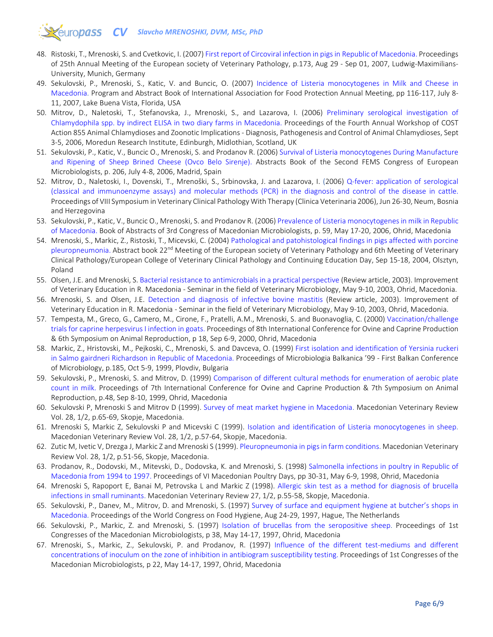# **EXELUTOPASS CV** Slavcho MRENOSHKI, DVM, MSc, PhD

- 48. Ristoski, T., Mrenoski, S. and Cvetkovic, I. (2007[\) First report of Circoviral infection in pigs in Republic of Macedonia.](https://drive.google.com/file/d/1agmfhkQaEK6diIjC1Bg-XZIJKJta-hSi/view?usp=sharing) Proceedings of 25th Annual Meeting of the European society of Veterinary Pathology, p.173, Aug 29 - Sep 01, 2007, Ludwig-Maximilians-University, Munich, Germany
- 49. Sekulovski, P., Mrenoski, S., Katic, V. and Buncic, O. (2007) [Incidence of Listeria monocytogenes in Milk and Cheese in](https://drive.google.com/file/d/1kusyMW4iWwdU_45aAsouAMT0_oK9pWJs/view?usp=sharing)  [Macedonia.](https://drive.google.com/file/d/1kusyMW4iWwdU_45aAsouAMT0_oK9pWJs/view?usp=sharing) Program and Abstract Book of International Association for Food Protection Annual Meeting, pp 116-117, July 8- 11, 2007, Lake Buena Vista, Florida, USA
- 50. Mitrov, D., Naletoski, T., Stefanovska, J., Mrenoski, S., and Lazarova, I. (2006) [Preliminary serological investigation of](https://drive.google.com/file/d/1cePsrlu_xB0JXzlXOMIawUbSYvkuMTzK/view?usp=sharing)  [Chlamydophila spp. by indirect ELISA in two diary farms in Macedonia.](https://drive.google.com/file/d/1cePsrlu_xB0JXzlXOMIawUbSYvkuMTzK/view?usp=sharing) Proceedings of the Fourth Annual Workshop of COST Action 855 Animal Chlamydioses and Zoonotic Implications - Diagnosis, Pathogenesis and Control of Animal Chlamydioses, Sept 3-5, 2006, Moredun Research Institute, Edinburgh, Midlothian, Scotland, UK
- 51. Sekulovski, P., Katic, V., Buncic O., Mrenoski, S. and Prodanov R. (2006[\) Survival of Listeria monocytogenes During Manufacture](https://drive.google.com/file/d/1Ng8lw0cWjYCA_H34iIE0AyRF3qtgtjWZ/view?usp=sharing)  [and Ripening of Sheep Brined Cheese \(Ovco Belo Sirenje\).](https://drive.google.com/file/d/1Ng8lw0cWjYCA_H34iIE0AyRF3qtgtjWZ/view?usp=sharing) Abstracts Book of the Second FEMS Congress of European Microbiologists, p. 206, July 4-8, 2006, Madrid, Spain
- 52. Mitrov, D., Naletoski, I., Dovenski, T., Mrenoški, S., Srbinovska, J. and Lazarova, I. (2006) [Q-fever: application of serological](https://drive.google.com/file/d/1Ktq7s5tV1L6wuLyzxGRWY3BuwpsTC1qS/view?usp=sharing)  [\(classical and immunoenzyme assays\) and molecular methods \(PCR\) in the diagnosis and control of the disease in cattle.](https://drive.google.com/file/d/1Ktq7s5tV1L6wuLyzxGRWY3BuwpsTC1qS/view?usp=sharing) Proceedings of VIII Symposium in Veterinary Clinical Pathology With Therapy (Clinica Veterinaria 2006), Jun 26-30, Neum, Bosnia and Herzegovina
- 53. Sekulovski, P., Katic, V., Buncic O., Mrenoski, S. and Prodanov R. (2006[\) Prevalence of Listeria monocytogenes in milk in Republic](https://drive.google.com/file/d/1i94wliYa_RajkDA7T3zdOd5iUopN1CJc/view?usp=sharing)  [of Macedonia. B](https://drive.google.com/file/d/1i94wliYa_RajkDA7T3zdOd5iUopN1CJc/view?usp=sharing)ook of Abstracts of 3rd Congress of Macedonian Microbiologists, p. 59, May 17-20, 2006, Ohrid, Macedonia
- 54. Mrenoski, S., Markic, Z., Ristoski, T., Micevski, C. (2004) [Pathological and patohistological findings in pigs affected with porcine](https://drive.google.com/file/d/1d2RbtXJgBklrpVnxSpzNUN-dRUjTZTuN/view?usp=sharing)  [pleuropneumonia. A](https://drive.google.com/file/d/1d2RbtXJgBklrpVnxSpzNUN-dRUjTZTuN/view?usp=sharing)bstract book 22<sup>nd</sup> Meeting of the European society of Veterinary Pathology and 6th Meeting of Veterinary Clinical Pathology/European College of Veterinary Clinical Pathology and Continuing Education Day, Sep 15-18, 2004, Olsztyn, Poland
- 55. Olsen, J.E. and Mrenoski, S[. Bacterial resistance to antimicrobials in a practical perspective](https://drive.google.com/file/d/1SylWucDP1fYQ4EFMQaZnUbVCDL0eoPpY/view?usp=sharing) (Review article, 2003). Improvement of Veterinary Education in R. Macedonia - Seminar in the field of Veterinary Microbiology, May 9-10, 2003, Ohrid, Macedonia.
- 56. Mrenoski, S. and Olsen, J.E. [Detection and diagnosis of infective bovine mastitis \(](https://drive.google.com/file/d/1Yro08R2EGEdJPsZiE84uvw8BwqjOdRdB/view?usp=sharing)Review article, 2003). Improvement of Veterinary Education in R. Macedonia - Seminar in the field of Veterinary Microbiology, May 9-10, 2003, Ohrid, Macedonia.
- 57. Tempesta, M., Greco, G., Camero, M., Cirone, F., Pratelli, A.M., Mrenoski, S. and Buonavoglia, C. (2000[\) Vaccination/challenge](https://drive.google.com/file/d/17xRJtZUCKFfyOAUbKwASSuZJUTq1vT_8/view?usp=sharing)  [trials for caprine herpesvirus I infection in goats.](https://drive.google.com/file/d/17xRJtZUCKFfyOAUbKwASSuZJUTq1vT_8/view?usp=sharing) Proceedings of 8th International Conference for Ovine and Caprine Production & 6th Symposium on Animal Reproduction, p 18, Sep 6-9, 2000, Ohrid, Macedonia
- 58. Markic, Z., Hristovski, M., Pejkoski, C., Mrenoski, S. and Davceva, O. (1999) [First isolation and identification of Yersinia ruckeri](https://drive.google.com/file/d/1vSl8o_YRg8qHnjhsFE34aO3tup2IF-lM/view?usp=sharing)  [in Salmo gairdneri Richardson in Republic of Macedonia.](https://drive.google.com/file/d/1vSl8o_YRg8qHnjhsFE34aO3tup2IF-lM/view?usp=sharing) Proceedings of Microbiologia Balkanica '99 - First Balkan Conference of Microbiology, p.185, Oct 5-9, 1999, Plovdiv, Bulgaria
- 59. Sekulovski, P., Mrenoski, S. and Mitrov, D. (1999) [Comparison of different cultural methods for enumeration of aerobic plate](https://drive.google.com/file/d/1sb7Fe0pGuNpt6Y6AoqQbGSOdUQy2B-vE/view?usp=sharing)  [count in milk.](https://drive.google.com/file/d/1sb7Fe0pGuNpt6Y6AoqQbGSOdUQy2B-vE/view?usp=sharing) Proceedings of 7th International Conference for Ovine and Caprine Production & 7th Symposium on Animal Reproduction, p.48, Sep 8-10, 1999, Ohrid, Macedonia
- 60. Sekulovski P, Mrenoski S and Mitrov D (1999). [Survey of meat market hygiene in Macedonia.](https://macvetrev.mk/LoadAbstract?DOI=637.5.614.31%28497.7%29_1992_1994) Macedonian Veterinary Review Vol. 28, 1/2, p.65-69, Skopje, Macedonia.
- 61. Mrenoski S, Markic Z, Sekulovski P and Micevski C (1999). [Isolation and identification of Listeria monocytogenes in sheep.](https://macvetrev.mk/LoadAbstract?DOI=619.636.32_.38%5D.616.98.579.869.1.083) Macedonian Veterinary Review Vol. 28, 1/2, p.57-64, Skopje, Macedonia.
- 62. Zutic M, Ivetic V, Drezga J, Markic Z and Mrenoski S (1999). [Pleuropneumonia in pigs in farm conditions.](https://macvetrev.mk/LoadAbstract?DOI=619.636.4%5D.616.24_002_02.579.943.96) Macedonian Veterinary Review Vol. 28, 1/2, p.51-56, Skopje, Macedonia.
- 63. Prodanov, R., Dodovski, M., Mitevski, D., Dodovska, K. and Mrenoski, S. (1998) [Salmonella infections in poultry in Republic of](https://drive.google.com/file/d/11m4p0_7341WV92BKw_nLDixN9Osg-0Yh/view?usp=sharing)  [Macedonia from 1994 to 1997.](https://drive.google.com/file/d/11m4p0_7341WV92BKw_nLDixN9Osg-0Yh/view?usp=sharing) Proceedings of VI Macedonian Poultry Days, pp 30-31, May 6-9, 1998, Ohrid, Macedonia
- 64. Mrenoski S, Rapoport E, Banai M, Petrovska L and Markic Z (1998). [Allergic skin test as a method for diagnosis of brucella](https://macvetrev.mk/LoadAbstract?DOI=619.636.3%5D.616.98.579.841.93083.3)  [infections in small ruminants.](https://macvetrev.mk/LoadAbstract?DOI=619.636.3%5D.616.98.579.841.93083.3) Macedonian Veterinary Review 27, 1/2, p.55-58, Skopje, Macedonia.
- 65. Sekulovski, P., Danev, M., Mitrov, D. and Mrenoski, S. (1997) [Survey of surface and equipment hygiene at butcher's shops in](https://drive.google.com/file/d/1QR95ViJjBPjPafGMqKtIeVz2AoUAALTS/view?usp=sharing)  [Macedonia.](https://drive.google.com/file/d/1QR95ViJjBPjPafGMqKtIeVz2AoUAALTS/view?usp=sharing) Proceedings of the World Congress on Food Hygiene, Aug 24-29, 1997, Hague, The Netherlands
- 66. Sekulovski, P., Markic, Z. and Mrenoski, S. (1997) [Isolation of brucellas from the seropositive sheep.](https://drive.google.com/file/d/1pFc3mK74gvDtOTw0w6D2Wkq6zhI3yPVm/view?usp=sharing) Proceedings of 1st Congresses of the Macedonian Microbiologists, p 38, May 14-17, 1997, Ohrid, Macedonia
- 67. Mrenoski, S., Markic, Z., Sekulovski, P. and Prodanov, R. (1997) [Influence of the different test-mediums and different](https://drive.google.com/file/d/16ETmfDxY5EO66ikN4v4Dr-u-vikzbehX/view?usp=sharing)  [concentrations of inoculum on the zone of inhibition in antibiogram susceptibility testing.](https://drive.google.com/file/d/16ETmfDxY5EO66ikN4v4Dr-u-vikzbehX/view?usp=sharing) Proceedings of 1st Congresses of the Macedonian Microbiologists, p 22, May 14-17, 1997, Ohrid, Macedonia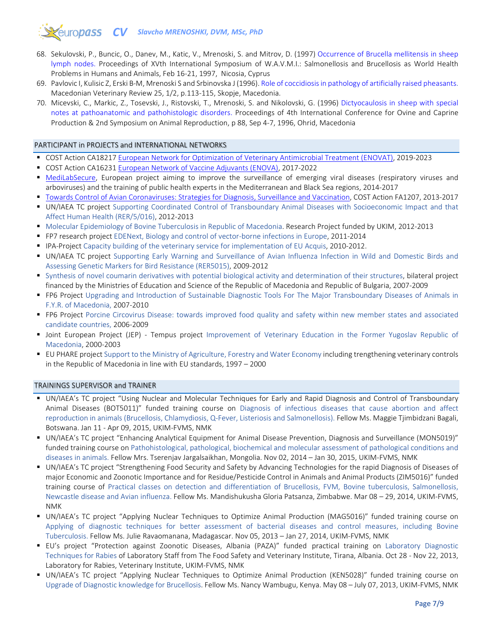# *COUTODASS* CV Slavcho MRENOSHKI, DVM, MSc, PhD

- 68. Sekulovski, P., Buncic, O., Danev, M., Katic, V., Mrenoski, S. and Mitrov, D. (1997) [Occurrence of Brucella mellitensis in sheep](https://drive.google.com/file/d/1m0JytNtsldqEAVAA4nglgstRx7hprhdm/view?usp=sharing)  [lymph nodes.](https://drive.google.com/file/d/1m0JytNtsldqEAVAA4nglgstRx7hprhdm/view?usp=sharing) Proceedings of XVth International Symposium of W.A.V.M.I.: Salmonellosis and Brucellosis as World Health Problems in Humans and Animals, Feb 16-21, 1997, Nicosia, Cyprus
- 69. Pavlovic I, Kulisic Z, Erski B-M, Mrenoski S and Srbinovska J (1996)[. Role of coccidiosis in pathology of artificially raised pheasants.](https://www.researchgate.net/publication/352791266_Role_of_coccidiosis_in_pathology_of_artificially_raised_pheasants_Macedonian_Veterinary_Review_25_12_p113-115_1996_Skopje_Macedonia) Macedonian Veterinary Review 25, 1/2, p.113-115, Skopje, Macedonia.
- 70. Micevski, C., Markic, Z., Tosevski, J., Ristovski, T., Mrenoski, S. and Nikolovski, G. (1996) [Dictyocaulosis in sheep with special](https://drive.google.com/file/d/1pwsJD-nmg4cn-fgQ1w2MTwtErS9FULpu/view?usp=sharing)  [notes at pathoanatomic and pathohistologic disorders.](https://drive.google.com/file/d/1pwsJD-nmg4cn-fgQ1w2MTwtErS9FULpu/view?usp=sharing) Proceedings of 4th International Conference for Ovine and Caprine Production & 2nd Symposium on Animal Reproduction, p 88, Sep 4-7, 1996, Ohrid, Macedonia

### PARTICIPANT in PROJECTS and INTERNATIONAL NETWORKS

- COST Action CA18217 [European Network for Optimization of Veterinary Antimicrobial Treatment \(ENOVAT\),](https://www.cost.eu/actions/CA18217/#tabs|Name:overview) 2019-2023
- COST Action CA16231 [European Network of Vaccine Adjuvants \(ENOVA\),](https://www.cost.eu/actions/CA16231/#tabs|Name:overview) 2017-2022
- **[MediLabSecure,](https://www.medilabsecure.com/) European project aiming to improve the surveillance of emerging viral diseases (respiratory viruses and** arboviruses) and the training of public health experts in the Mediterranean and Black Sea regions, 2014-2017
- [Towards Control of Avian Coronaviruses: Strategies for Diagnosis, Surveillance and Vaccination,](https://www.cost.eu/actions/FA1207/#tabs|Name:overview) COST Action FA1207, 2013-2017
- UN/IAEA TC project Supporting Coordinated Control of Transboundary Animal Diseases with Socioeconomic Impact and that Affect Human Health (RER/5/016), 2012-2013
- Molecular Epidemiology of Bovine Tuberculosis in Republic of Macedonia. Research Project funded by UKIM, 2012-2013
- **FP7 research project EDENext, Biology and control of vector-borne infections in Europe, 2011-2014**
- **IPA-Project Capacity building of the veterinary service for implementation of EU Acquis, 2010-2012.**
- UN/IAEA TC project Supporting Early Warning and Surveillance of Avian Influenza Infection in Wild and Domestic Birds and Assessing Genetic Markers for Bird Resistance (RER5015), 2009-2012
- Synthesis of novel coumarin derivatives with potential biological activity and determination of their structures, bilateral project financed by the Ministries of Education and Science of the Republic of Macedonia and Republic of Bulgaria, 2007-2009
- FP6 Project Upgrading and Introduction of Sustainable Diagnostic Tools For The Major Transboundary Diseases of Animals in F.Y.R. of Macedonia, 2007-2010
- FP6 Project Porcine Circovirus Disease: towards improved food quality and safety within new member states and associated candidate countries, 2006-2009
- Joint European Project (JEP) Tempus project Improvement of Veterinary Education in the Former Yugoslav Republic of Macedonia, 2000-2003
- EU PHARE project Support to the Ministry of Agriculture, Forestry and Water Economy including trengthening veterinary controls in the Republic of Macedonia in line with EU standards, 1997 – 2000

### TRAININGS SUPERVISOR and TRAINER

- UN/IAEA's TC project "Using Nuclear and Molecular Techniques for Early and Rapid Diagnosis and Control of Transboundary Animal Diseases (BOT5011)" funded training course on Diagnosis of infectious diseases that cause abortion and affect reproduction in animals (Brucellosis, Chlamydiosis, Q-Fever, Listeriosis and Salmonellosis). Fellow Ms. Maggie Tjimbidzani Bagali, Botswana. Jan 11 - Apr 09, 2015, UKIM-FVMS, NMK
- UN/IAEA's TC project "Enhancing Analytical Equipment for Animal Disease Prevention, Diagnosis and Surveillance (MON5019)" funded training course on Pathohistological, pathological, biochemical and molecular assessment of pathological conditions and diseases in animals. Fellow Mrs. Tserenjav Jargalsaikhan, Mongolia. Nov 02, 2014 – Jan 30, 2015, UKIM-FVMS, NMK
- UN/IAEA's TC project "Strengthening Food Security and Safety by Advancing Technologies for the rapid Diagnosis of Diseases of major Economic and Zoonotic Importance and for Residue/Pesticide Control in Animals and Animal Products (ZIM5016)" funded training course of Practical classes on detection and differentiation of Brucellosis, FVM, Bovine tuberculosis, Salmonellosis, Newcastle disease and Avian influenza. Fellow Ms. Mandishukusha Gloria Patsanza, Zimbabwe. Mar 08 – 29, 2014, UKIM-FVMS, NMK
- UN/IAEA's TC project "Applying Nuclear Techniques to Optimize Animal Production (MAG5016)" funded training course on Applying of diagnostic techniques for better assessment of bacterial diseases and control measures, including Bovine Tuberculosis. Fellow Ms. Julie Ravaomanana, Madagascar. Nov 05, 2013 – Jan 27, 2014, UKIM-FVMS, NMK
- EU's project "Protection against Zoonotic Diseases, Albania (PAZA)" funded practical training on Laboratory Diagnostic Techniques for Rabies of Laboratory Staff from The Food Safety and Veterinary Institute, Tirana, Albania. Oct 28 - Nov 22, 2013, Laboratory for Rabies, Veterinary Institute, UKIM-FVMS, NMK
- UN/IAEA's TC project "Applying Nuclear Techniques to Optimize Animal Production (KEN5028)" funded training course on Upgrade of Diagnostic knowledge for Brucellosis. Fellow Ms. Nancy Wambugu, Kenya. May 08 – July 07, 2013, UKIM-FVMS, NMK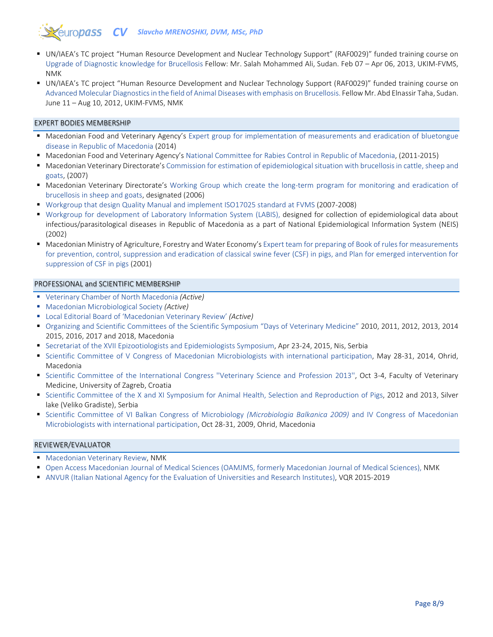# *<u>europass</u> CV Slavcho MRENOSHKI, DVM, MSc, PhD*

- UN/IAEA's TC project "Human Resource Development and Nuclear Technology Support" (RAF0029)" funded training course on Upgrade of Diagnostic knowledge for Brucellosis Fellow: Mr. Salah Mohammed Ali, Sudan. Feb 07 – Apr 06, 2013, UKIM-FVMS, NMK
- UN/IAEA's TC project "Human Resource Development and Nuclear Technology Support (RAF0029)" funded training course on Advanced Molecular Diagnostics in the field of Animal Diseases with emphasis on Brucellosis. Fellow Mr. Abd Elnassir Taha, Sudan. June 11 – Aug 10, 2012, UKIM-FVMS, NMK

### EXPERT BODIES MEMBERSHIP

- Macedonian Food and Veterinary Agency's Expert group for implementation of measurements and eradication of bluetongue disease in Republic of Macedonia (2014)
- Macedonian Food and Veterinary Agency's National Committee for Rabies Control in Republic of Macedonia, (2011-2015)
- Macedonian Veterinary Directorate's Commission for estimation of epidemiological situation with brucellosis in cattle, sheep and goats, (2007)
- Macedonian Veterinary Directorate's Working Group which create the long-term program for monitoring and eradication of brucellosis in sheep and goats, designated (2006)
- Workgroup that design Quality Manual and implement ISO17025 standard at FVMS (2007-2008)
- Workgroup for development of Laboratory Information System (LABIS), designed for collection of epidemiological data about infectious/parasitological diseases in Republic of Macedonia as a part of National Epidemiological Information System (NEIS) (2002)
- Macedonian Ministry of Agriculture, Forestry and Water Economy's Expert team for preparing of Book of rules for measurements for prevention, control, suppression and eradication of classical swine fever (CSF) in pigs, and Plan for emerged intervention for suppression of CSF in pigs (2001)

### PROFESSIONAL and SCIENTIFIC MEMBERSHIP

- Veterinary Chamber of North Macedonia *(Active)*
- Macedonian Microbiological Society *(Active)*
- Local Editorial Board of 'Macedonian Veterinary Review' *(Active)*
- Organizing and Scientific Committees of the Scientific Symposium "Days of Veterinary Medicine" 2010, 2011, 2012, 2013, 2014 2015, 2016, 2017 and 2018, Macedonia
- **Secretariat of the XVII Epizootiologists and Epidemiologists Symposium, Apr 23-24, 2015, Nis, Serbia**
- Scientific Committee of V Congress of Macedonian Microbiologists with international participation, May 28-31, 2014, Ohrid, Macedonia
- Scientific Committee of the International Congress "Veterinary Science and Profession 2013", Oct 3-4, Faculty of Veterinary Medicine, University of Zagreb, Croatia
- Scientific Committee of the X and XI Symposium for Animal Health, Selection and Reproduction of Pigs, 2012 and 2013, Silver lake (Veliko Gradiste), Serbia
- Scientific Committee of VI Balkan Congress of Microbiology *(Microbiologia Balkanica 2009)* and IV Congress of Macedonian Microbiologists with international participation, Oct 28-31, 2009, Ohrid, Macedonia

#### REVIEWER/EVALUATOR

- **Macedonian Veterinary Review, NMK**
- Open Access Macedonian Journal of Medical Sciences (OAMJMS, formerly Macedonian Journal of Medical Sciences), NMK
- ANVUR (Italian National Agency for the Evaluation of Universities and Research Institutes), VQR 2015-2019